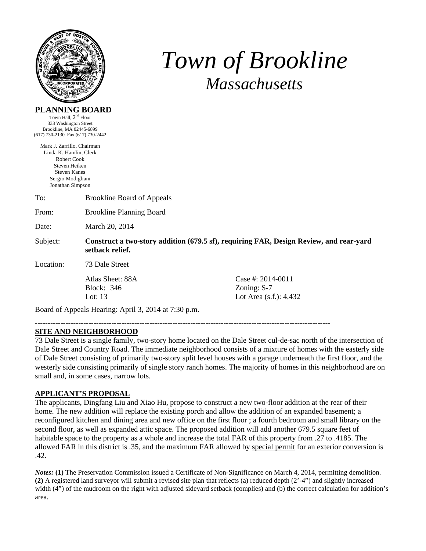

# *Town of Brookline Massachusetts*

#### **PLANNING BOARD**

Town Hall,  $2<sup>nd</sup>$  Floor 333 Washington Street Brookline, MA 02445-6899 (617) 730-2130 Fax (617) 730-2442

Mark J. Zarrillo, Chairman Linda K. Hamlin, Clerk Robert Cook Steven Heiken Steven Kanes Sergio Modigliani Jonathan Simpson

From: Brookline Planning Board

Date: March 20, 2014

Subject: **Construct a two-story addition (679.5 sf), requiring FAR, Design Review, and rear-yard setback relief.** 

Location: 73 Dale Street

Block: 346 Zoning: S-7

Atlas Sheet: 88A Case #: 2014-0011 Lot: 13 Lot Area (s.f.): 4,432

Board of Appeals Hearing: April 3, 2014 at 7:30 p.m.

--------------------------------------------------------------------------------------------------------------------

#### **SITE AND NEIGHBORHOOD**

73 Dale Street is a single family, two-story home located on the Dale Street cul-de-sac north of the intersection of Dale Street and Country Road. The immediate neighborhood consists of a mixture of homes with the easterly side of Dale Street consisting of primarily two-story split level houses with a garage underneath the first floor, and the westerly side consisting primarily of single story ranch homes. The majority of homes in this neighborhood are on small and, in some cases, narrow lots.

#### **APPLICANT'S PROPOSAL**

The applicants, Dingfang Liu and Xiao Hu, propose to construct a new two-floor addition at the rear of their home. The new addition will replace the existing porch and allow the addition of an expanded basement; a reconfigured kitchen and dining area and new office on the first floor ; a fourth bedroom and small library on the second floor, as well as expanded attic space. The proposed addition will add another 679.5 square feet of habitable space to the property as a whole and increase the total FAR of this property from .27 to .4185. The allowed FAR in this district is .35, and the maximum FAR allowed by special permit for an exterior conversion is .42.

*Notes:* **(1)** The Preservation Commission issued a Certificate of Non-Significance on March 4, 2014, permitting demolition. **(2)** A registered land surveyor will submit a revised site plan that reflects (a) reduced depth (2'-4") and slightly increased width (4") of the mudroom on the right with adjusted sideyard setback (complies) and (b) the correct calculation for addition's area.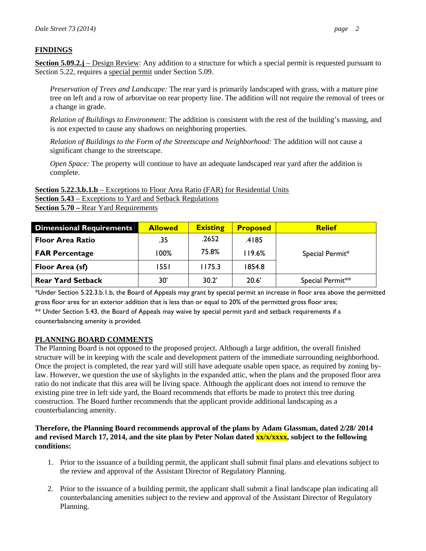### **FINDINGS**

**Section 5.09.2.j** – Design Review: Any addition to a structure for which a special permit is requested pursuant to Section 5.22, requires a special permit under Section 5.09.

*Preservation of Trees and Landscape:* The rear yard is primarily landscaped with grass, with a mature pine tree on left and a row of arborvitae on rear property line. The addition will not require the removal of trees or a change in grade.

*Relation of Buildings to Environment:* The addition is consistent with the rest of the building's massing, and is not expected to cause any shadows on neighboring properties.

*Relation of Buildings to the Form of the Streetscape and Neighborhood:* The addition will not cause a significant change to the streetscape.

*Open Space:* The property will continue to have an adequate landscaped rear yard after the addition is complete.

**Section 5.22.3.b.1.b** – Exceptions to Floor Area Ratio (FAR) for Residential Units **Section 5.43** – Exceptions to Yard and Setback Regulations **Section 5.70 –** Rear Yard Requirements

| <b>Dimensional Requirements</b> | <b>Allowed</b> | <b>Existing</b> | <b>Proposed</b> | <b>Relief</b>    |
|---------------------------------|----------------|-----------------|-----------------|------------------|
| <b>Floor Area Ratio</b>         | .35            | .2652           | .4185           |                  |
| <b>FAR Percentage</b>           | 100%           | 75.8%           | 119.6%          | Special Permit*  |
| Floor Area (sf)                 | 1551           | 175.3           | 1854.8          |                  |
| <b>Rear Yard Setback</b>        | 30'            | 30.2'           | 20.6'           | Special Permit** |

\*Under Section 5.22.3.b.1.b, the Board of Appeals may grant by special permit an increase in floor area above the permitted gross floor area for an exterior addition that is less than or equal to 20% of the permitted gross floor area;

\*\* Under Section 5.43, the Board of Appeals may waive by special permit yard and setback requirements if a counterbalancing amenity is provided.

#### **PLANNING BOARD COMMENTS**

The Planning Board is not opposed to the proposed project. Although a large addition, the overall finished structure will be in keeping with the scale and development pattern of the immediate surrounding neighborhood. Once the project is completed, the rear yard will still have adequate usable open space, as required by zoning bylaw. However, we question the use of skylights in the expanded attic, when the plans and the proposed floor area ratio do not indicate that this area will be living space. Although the applicant does not intend to remove the existing pine tree in left side yard, the Board recommends that efforts be made to protect this tree during construction. The Board further recommends that the applicant provide additional landscaping as a counterbalancing amenity.

#### **Therefore, the Planning Board recommends approval of the plans by Adam Glassman, dated 2/28/ 2014 and revised March 17, 2014, and the site plan by Peter Nolan dated xx/x/xxxx, subject to the following conditions:**

- 1. Prior to the issuance of a building permit, the applicant shall submit final plans and elevations subject to the review and approval of the Assistant Director of Regulatory Planning.
- 2. Prior to the issuance of a building permit, the applicant shall submit a final landscape plan indicating all counterbalancing amenities subject to the review and approval of the Assistant Director of Regulatory Planning.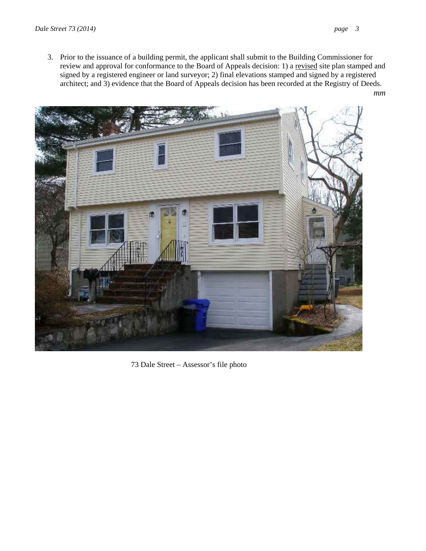3. Prior to the issuance of a building permit, the applicant shall submit to the Building Commissioner for review and approval for conformance to the Board of Appeals decision: 1) a revised site plan stamped and signed by a registered engineer or land surveyor; 2) final elevations stamped and signed by a registered architect; and 3) evidence that the Board of Appeals decision has been recorded at the Registry of Deeds. *mm* 



73 Dale Street – Assessor's file photo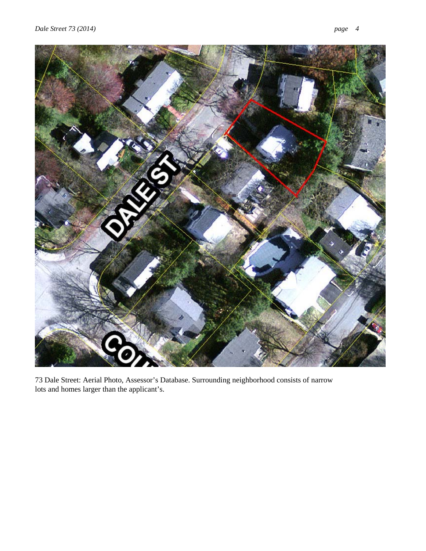



73 Dale Street: Aerial Photo, Assessor's Database. Surrounding neighborhood consists of narrow lots and homes larger than the applicant's.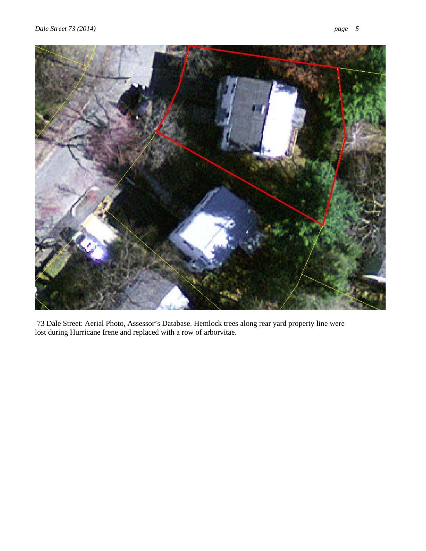

 73 Dale Street: Aerial Photo, Assessor's Database. Hemlock trees along rear yard property line were lost during Hurricane Irene and replaced with a row of arborvitae.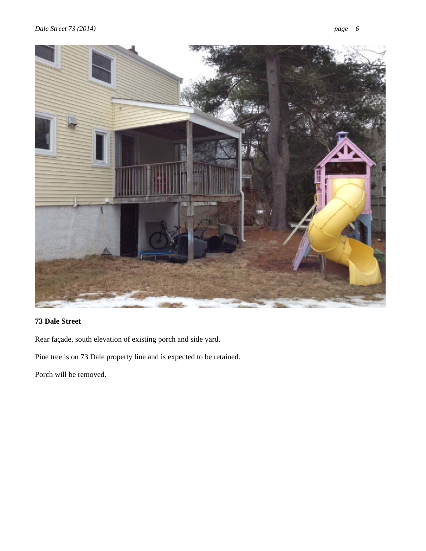

## **73 Dale Street**

Rear façade, south elevation of existing porch and side yard.

Pine tree is on 73 Dale property line and is expected to be retained.

Porch will be removed.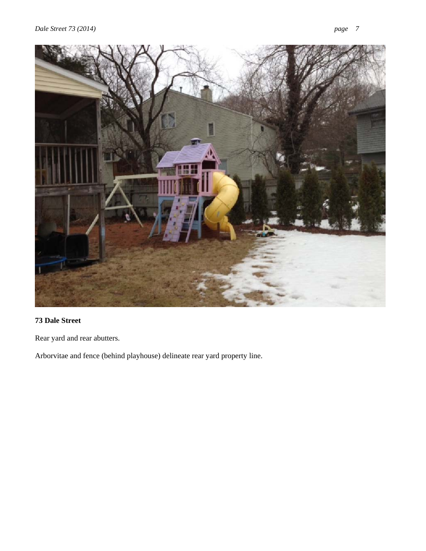

## **73 Dale Street**

Rear yard and rear abutters.

Arborvitae and fence (behind playhouse) delineate rear yard property line.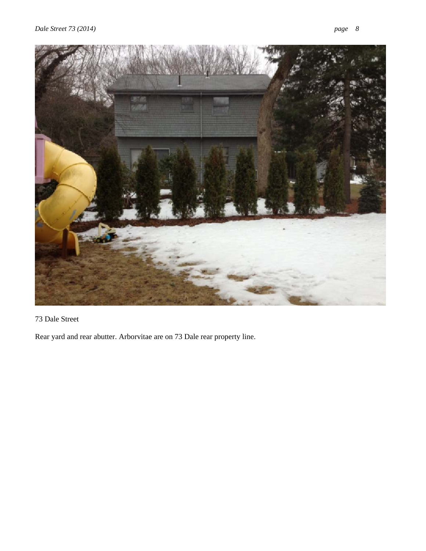

# 73 Dale Street

Rear yard and rear abutter. Arborvitae are on 73 Dale rear property line.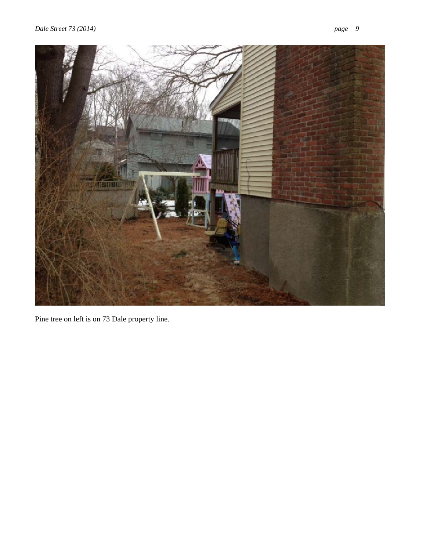



Pine tree on left is on 73 Dale property line.